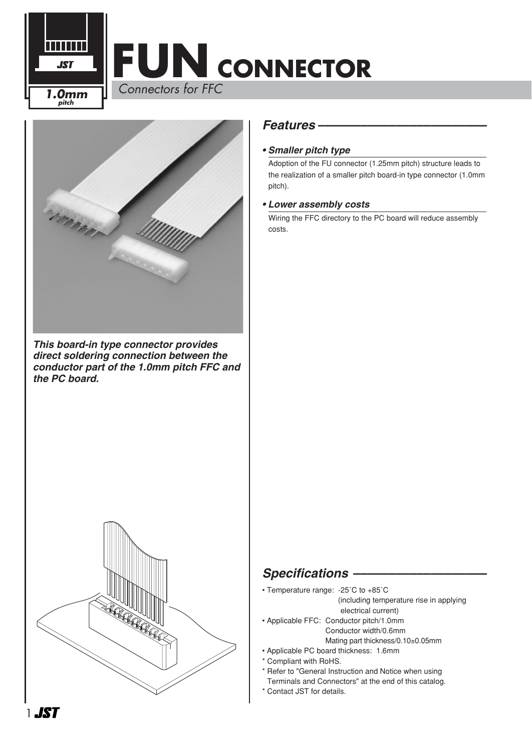



*This board-in type connector provides direct soldering connection between the conductor part of the 1.0mm pitch FFC and the PC board.*



#### *Features ––––––––––––––––––––––––*

#### *• Smaller pitch type*

Adoption of the FU connector (1.25mm pitch) structure leads to the realization of a smaller pitch board-in type connector (1.0mm pitch).

#### *• Lower assembly costs*

Wiring the FFC directory to the PC board will reduce assembly costs.

#### **Specifications -**

- Temperature range: -25˚C to +85˚C
	- (including temperature rise in applying
	- electrical current)
- Applicable FFC: Conductor pitch/1.0mm Conductor width/0.6mm Mating part thickness/0.10±0.05mm
- Applicable PC board thickness: 1.6mm
- \* Compliant with RoHS.
- \* Refer to "General Instruction and Notice when using
- Terminals and Connectors" at the end of this catalog.
- \* Contact JST for details.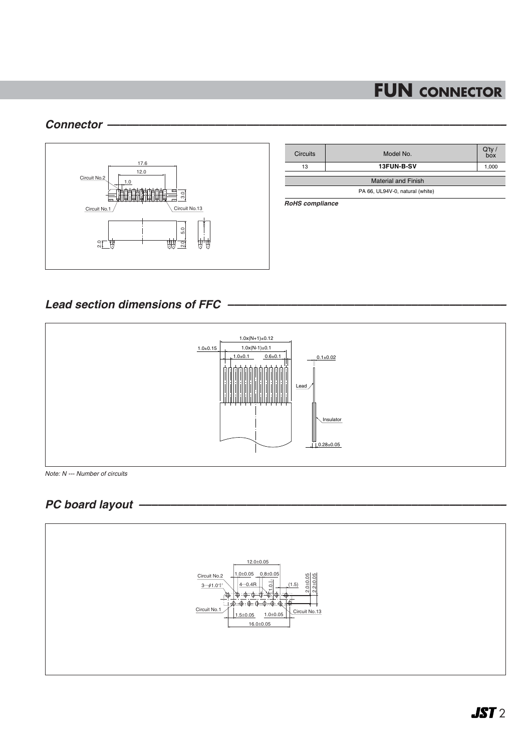#### *Connector –––––––––––––––––––––––––––––––––––––––––––––––––––––––––––––––*



| <b>Circuits</b>                 | Model No.  | $Q'$ ty /<br>box |
|---------------------------------|------------|------------------|
| 13                              | 13FUN-B-SV | 1,000            |
| <b>Material and Finish</b>      |            |                  |
| PA 66, UL94V-0, natural (white) |            |                  |

*RoHS compliance*

### *Lead section dimensions of FFC ––––––––––––––––––––––––––––––––––––––––––––*



*Note: N --- Number of circuits*

## *PC board layout ––––––––––––––––––––––––––––––––––––––––––––––––––––––––––*